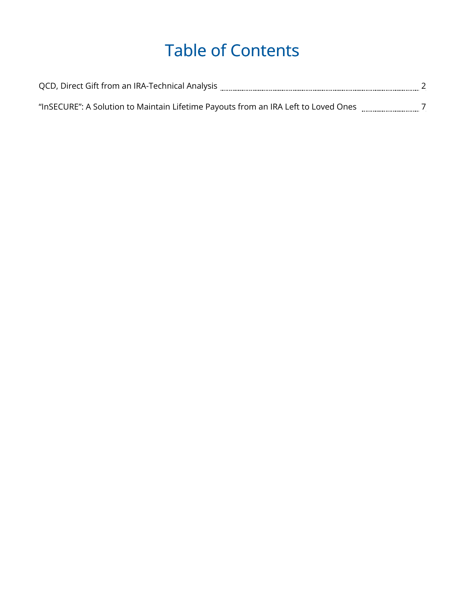# Table of Contents

| QCD, Direct Gift from an IRA-Technical Analysis                                    |  |
|------------------------------------------------------------------------------------|--|
|                                                                                    |  |
| "InSECURE": A Solution to Maintain Lifetime Payouts from an IRA Left to Loved Ones |  |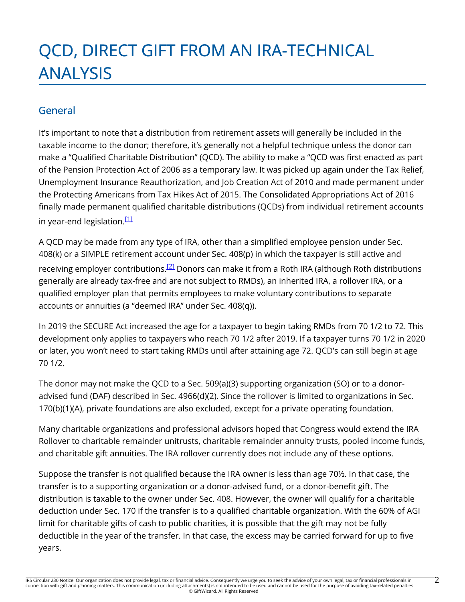# QCD, DIRECT GIFT FROM AN IRA-TECHNICAL ANALYSIS

# General

It's important to note that a distribution from retirement assets will generally be included in the taxable income to the donor; therefore, it's generally not a helpful technique unless the donor can make a "Qualified Charitable Distribution" (QCD). The ability to make a "QCD was first enacted as part of the Pension Protection Act of 2006 as a temporary law. It was picked up again under the Tax Relief, Unemployment Insurance Reauthorization, and Job Creation Act of 2010 and made permanent under the Protecting Americans from Tax Hikes Act of 2015. The Consolidated Appropriations Act of 2016 finally made permanent qualified charitable distributions (QCDs) from individual retirement accounts in year-end legislation.<sup>[1]</sup>

A QCD may be made from any type of IRA, other than a simplified employee pension under Sec. 408(k) or a SIMPLE retirement account under Sec. 408(p) in which the taxpayer is still active and receiving employer contributions.<sup>[2]</sup> Donors can make it from a Roth IRA (although Roth distributions generally are already tax-free and are not subject to RMDs), an inherited IRA, a rollover IRA, or a qualified employer plan that permits employees to make voluntary contributions to separate accounts or annuities (a "deemed IRA" under Sec. 408(q)).

In 2019 the SECURE Act increased the age for a taxpayer to begin taking RMDs from 70 1/2 to 72. This development only applies to taxpayers who reach 70 1/2 after 2019. If a taxpayer turns 70 1/2 in 2020 or later, you won't need to start taking RMDs until after attaining age 72. QCD's can still begin at age 70 1/2.

The donor may not make the QCD to a Sec. 509(a)(3) supporting organization (SO) or to a donoradvised fund (DAF) described in Sec. 4966(d)(2). Since the rollover is limited to organizations in Sec. 170(b)(1)(A), private foundations are also excluded, except for a private operating foundation.

Many charitable organizations and professional advisors hoped that Congress would extend the IRA Rollover to charitable remainder unitrusts, charitable remainder annuity trusts, pooled income funds, and charitable gift annuities. The IRA rollover currently does not include any of these options.

Suppose the transfer is not qualified because the IRA owner is less than age 70½. In that case, the transfer is to a supporting organization or a donor-advised fund, or a donor-benefit gift. The distribution is taxable to the owner under Sec. 408. However, the owner will qualify for a charitable deduction under Sec. 170 if the transfer is to a qualified charitable organization. With the 60% of AGI limit for charitable gifts of cash to public charities, it is possible that the gift may not be fully deductible in the year of the transfer. In that case, the excess may be carried forward for up to five years.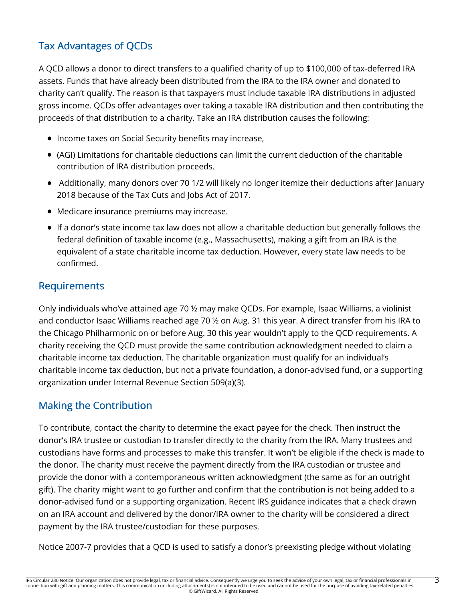# Tax Advantages of QCDs

A QCD allows a donor to direct transfers to a qualified charity of up to \$100,000 of tax-deferred IRA assets. Funds that have already been distributed from the IRA to the IRA owner and donated to charity can't qualify. The reason is that taxpayers must include taxable IRA distributions in adjusted gross income. QCDs offer advantages over taking a taxable IRA distribution and then contributing the proceeds of that distribution to a charity. Take an IRA distribution causes the following:

- Income taxes on Social Security benefits may increase,
- (AGI) Limitations for charitable deductions can limit the current deduction of the charitable contribution of IRA distribution proceeds.
- Additionally, many donors over 70 1/2 will likely no longer itemize their deductions after January 2018 because of the Tax Cuts and Jobs Act of 2017.
- Medicare insurance premiums may increase.
- If a donor's state income tax law does not allow a charitable deduction but generally follows the federal definition of taxable income (e.g., Massachusetts), making a gift from an IRA is the equivalent of a state charitable income tax deduction. However, every state law needs to be confirmed.

#### Requirements

Only individuals who've attained age 70 ½ may make QCDs. For example, Isaac Williams, a violinist and conductor Isaac Williams reached age 70 ½ on Aug. 31 this year. A direct transfer from his IRA to the Chicago Philharmonic on or before Aug. 30 this year wouldn't apply to the QCD requirements. A charity receiving the QCD must provide the same contribution acknowledgment needed to claim a charitable income tax deduction. The charitable organization must qualify for an individual's charitable income tax deduction, but not a private foundation, a donor-advised fund, or a supporting organization under Internal Revenue Section 509(a)(3).

## Making the Contribution

To contribute, contact the charity to determine the exact payee for the check. Then instruct the donor's IRA trustee or custodian to transfer directly to the charity from the IRA. Many trustees and custodians have forms and processes to make this transfer. It won't be eligible if the check is made to the donor. The charity must receive the payment directly from the IRA custodian or trustee and provide the donor with a contemporaneous written acknowledgment (the same as for an outright gift). The charity might want to go further and confirm that the contribution is not being added to a donor-advised fund or a supporting organization. Recent IRS guidance indicates that a check drawn on an IRA account and delivered by the donor/IRA owner to the charity will be considered a direct payment by the IRA trustee/custodian for these purposes.

Notice 2007-7 provides that a QCD is used to satisfy a donor's preexisting pledge without violating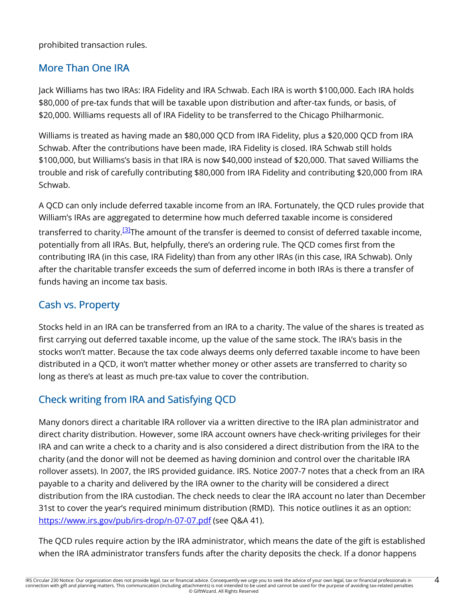prohibited transaction rules.

## More Than One IRA

Jack Williams has two IRAs: IRA Fidelity and IRA Schwab. Each IRA is worth \$100,000. Each IRA holds \$80,000 of pre-tax funds that will be taxable upon distribution and after-tax funds, or basis, of \$20,000. Williams requests all of IRA Fidelity to be transferred to the Chicago Philharmonic.

Williams is treated as having made an \$80,000 QCD from IRA Fidelity, plus a \$20,000 QCD from IRA Schwab. After the contributions have been made, IRA Fidelity is closed. IRA Schwab still holds \$100,000, but Williams's basis in that IRA is now \$40,000 instead of \$20,000. That saved Williams the trouble and risk of carefully contributing \$80,000 from IRA Fidelity and contributing \$20,000 from IRA Schwab.

A QCD can only include deferred taxable income from an IRA. Fortunately, the QCD rules provide that William's IRAs are aggregated to determine how much deferred taxable income is considered transferred to charity.<sup>[3]</sup>The amount of the transfer is deemed to consist of deferred taxable income, potentially from all IRAs. But, helpfully, there's an ordering rule. The QCD comes first from the contributing IRA (in this case, IRA Fidelity) than from any other IRAs (in this case, IRA Schwab). Only after the charitable transfer exceeds the sum of deferred income in both IRAs is there a transfer of funds having an income tax basis.

# Cash vs. Property

Stocks held in an IRA can be transferred from an IRA to a charity. The value of the shares is treated as first carrying out deferred taxable income, up the value of the same stock. The IRA's basis in the stocks won't matter. Because the tax code always deems only deferred taxable income to have been distributed in a QCD, it won't matter whether money or other assets are transferred to charity so long as there's at least as much pre-tax value to cover the contribution.

# Check writing from IRA and Satisfying QCD

Many donors direct a charitable IRA rollover via a written directive to the IRA plan administrator and direct charity distribution. However, some IRA account owners have check-writing privileges for their IRA and can write a check to a charity and is also considered a direct distribution from the IRA to the charity (and the donor will not be deemed as having dominion and control over the charitable IRA rollover assets). In 2007, the IRS provided guidance. IRS. Notice 2007-7 notes that a check from an IRA payable to a charity and delivered by the IRA owner to the charity will be considered a direct distribution from the IRA custodian. The check needs to clear the IRA account no later than December 31st to cover the year's required minimum distribution (RMD). This notice outlines it as an option: https://www.irs.gov/pub/irs-drop/n-07-07.pdf (see Q&A 41).

The QCD rules require action by the IRA administrator, which means the date of the gift is established when the IRA administrator transfers funds after the charity deposits the check. If a donor happens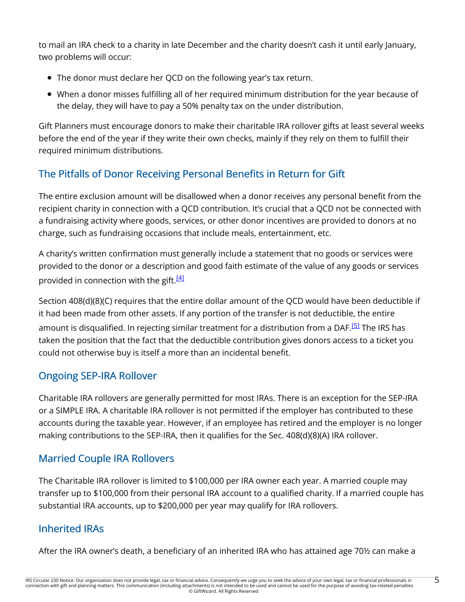to mail an IRA check to a charity in late December and the charity doesn't cash it until early January, two problems will occur:

- The donor must declare her QCD on the following year's tax return.
- When a donor misses fulfilling all of her required minimum distribution for the year because of the delay, they will have to pay a 50% penalty tax on the under distribution.

Gift Planners must encourage donors to make their charitable IRA rollover gifts at least several weeks before the end of the year if they write their own checks, mainly if they rely on them to fulfill their required minimum distributions.

# The Pitfalls of Donor Receiving Personal Benefits in Return for Gift

The entire exclusion amount will be disallowed when a donor receives any personal benefit from the recipient charity in connection with a QCD contribution. It's crucial that a QCD not be connected with a fundraising activity where goods, services, or other donor incentives are provided to donors at no charge, such as fundraising occasions that include meals, entertainment, etc.

A charity's written confirmation must generally include a statement that no goods or services were provided to the donor or a description and good faith estimate of the value of any goods or services provided in connection with the gift.<sup>[<u>4</u>]</sup>

Section 408(d)(8)(C) requires that the entire dollar amount of the QCD would have been deductible if it had been made from other assets. If any portion of the transfer is not deductible, the entire amount is disqualified. In rejecting similar treatment for a distribution from a DAF.<sup>[5]</sup> The IRS has taken the position that the fact that the deductible contribution gives donors access to a ticket you could not otherwise buy is itself a more than an incidental benefit.

# Ongoing SEP-IRA Rollover

Charitable IRA rollovers are generally permitted for most IRAs. There is an exception for the SEP-IRA or a SIMPLE IRA. A charitable IRA rollover is not permitted if the employer has contributed to these accounts during the taxable year. However, if an employee has retired and the employer is no longer making contributions to the SEP-IRA, then it qualifies for the Sec. 408(d)(8)(A) IRA rollover.

# Married Couple IRA Rollovers

The Charitable IRA rollover is limited to \$100,000 per IRA owner each year. A married couple may transfer up to \$100,000 from their personal IRA account to a qualified charity. If a married couple has substantial IRA accounts, up to \$200,000 per year may qualify for IRA rollovers.

# Inherited IRAs

After the IRA owner's death, a beneficiary of an inherited IRA who has attained age 70½ can make a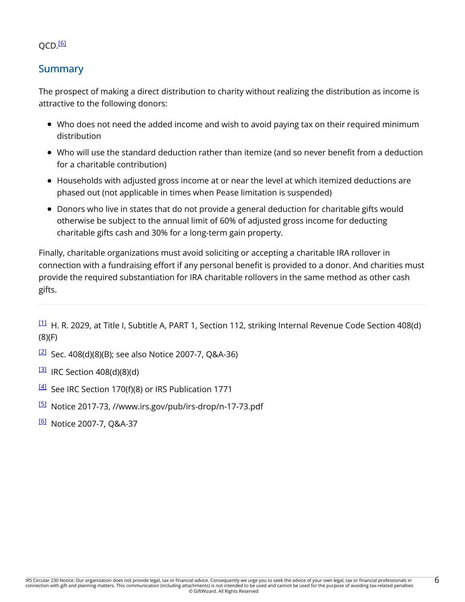#### QCD.<sup>[6]</sup>

### **Summary**

The prospect of making a direct distribution to charity without realizing the distribution as income is attractive to the following donors:

- Who does not need the added income and wish to avoid paying tax on their required minimum distribution
- Who will use the standard deduction rather than itemize (and so never benefit from a deduction for a charitable contribution)
- Households with adjusted gross income at or near the level at which itemized deductions are phased out (not applicable in times when Pease limitation is suspended)
- Donors who live in states that do not provide a general deduction for charitable gifts would otherwise be subject to the annual limit of 60% of adjusted gross income for deducting charitable gifts cash and 30% for a long-term gain property.

Finally, charitable organizations must avoid soliciting or accepting a charitable IRA rollover in connection with a fundraising effort if any personal benefit is provided to a donor. And charities must provide the required substantiation for IRA charitable rollovers in the same method as other cash gifts.

[1] H. R. 2029, at Title I, Subtitle A, PART 1, Section 112, striking Internal Revenue Code Section 408(d) (8)(F)

- $\frac{[2]}{[2]}$  Sec. 408(d)(8)(B); see also Notice 2007-7, Q&A-36)
- $\overline{31}$  IRC Section 408(d)(8)(d)
- <sup>[4]</sup> See IRC Section 170(f)(8) or IRS Publication 1771
- [5] Notice 2017-73, //www.irs.gov/pub/irs-drop/n-17-73.pdf
- <sup>[6]</sup> Notice 2007-7, Q&A-37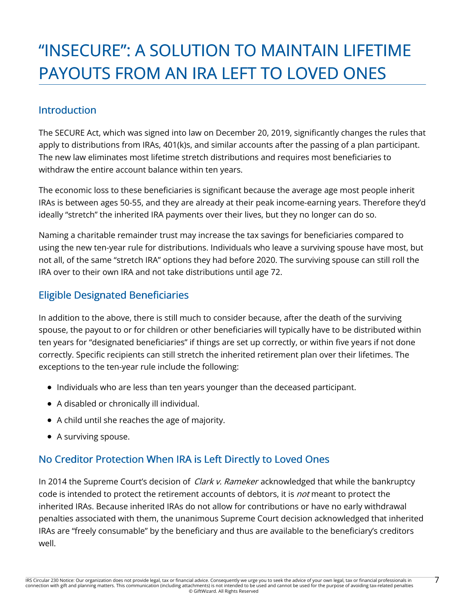# "INSECURE": A SOLUTION TO MAINTAIN LIFETIME PAYOUTS FROM AN IRA LEFT TO LOVED ONES

### Introduction

The SECURE Act, which was signed into law on December 20, 2019, significantly changes the rules that apply to distributions from IRAs, 401(k)s, and similar accounts after the passing of a plan participant. The new law eliminates most lifetime stretch distributions and requires most beneficiaries to withdraw the entire account balance within ten years.

The economic loss to these beneficiaries is significant because the average age most people inherit IRAs is between ages 50-55, and they are already at their peak income-earning years. Therefore they'd ideally "stretch" the inherited IRA payments over their lives, but they no longer can do so.

Naming a charitable remainder trust may increase the tax savings for beneficiaries compared to using the new ten-year rule for distributions. Individuals who leave a surviving spouse have most, but not all, of the same "stretch IRA" options they had before 2020. The surviving spouse can still roll the IRA over to their own IRA and not take distributions until age 72.

## Eligible Designated Beneficiaries

In addition to the above, there is still much to consider because, after the death of the surviving spouse, the payout to or for children or other beneficiaries will typically have to be distributed within ten years for "designated beneficiaries" if things are set up correctly, or within five years if not done correctly. Specific recipients can still stretch the inherited retirement plan over their lifetimes. The exceptions to the ten-year rule include the following:

- Individuals who are less than ten years younger than the deceased participant.
- A disabled or chronically ill individual.
- A child until she reaches the age of majority.
- A surviving spouse.

## No Creditor Protection When IRA is Left Directly to Loved Ones

In 2014 the Supreme Court's decision of *Clark v. Rameker* acknowledged that while the bankruptcy code is intended to protect the retirement accounts of debtors, it is *not* meant to protect the inherited IRAs. Because inherited IRAs do not allow for contributions or have no early withdrawal penalties associated with them, the unanimous Supreme Court decision acknowledged that inherited IRAs are "freely consumable" by the beneficiary and thus are available to the beneficiary's creditors well.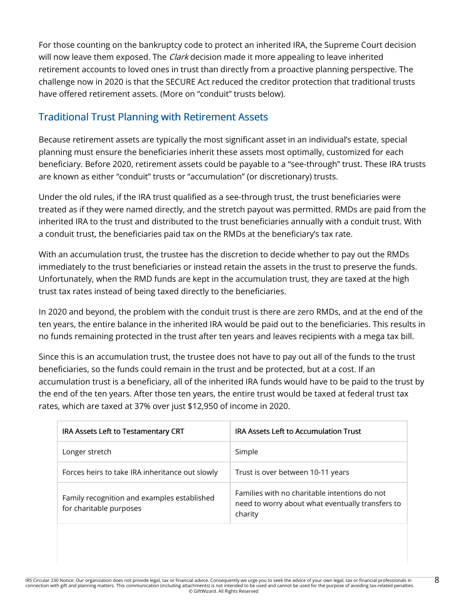For those counting on the bankruptcy code to protect an inherited IRA, the Supreme Court decision will now leave them exposed. The *Clark* decision made it more appealing to leave inherited retirement accounts to loved ones in trust than directly from a proactive planning perspective. The challenge now in 2020 is that the SECURE Act reduced the creditor protection that traditional trusts have offered retirement assets. (More on "conduit" trusts below).

## Traditional Trust Planning with Retirement Assets

Because retirement assets are typically the most significant asset in an individual's estate, special planning must ensure the beneficiaries inherit these assets most optimally, customized for each beneficiary. Before 2020, retirement assets could be payable to a "see-through" trust. These IRA trusts are known as either "conduit" trusts or "accumulation" (or discretionary) trusts.

Under the old rules, if the IRA trust qualified as a see-through trust, the trust beneficiaries were treated as if they were named directly, and the stretch payout was permitted. RMDs are paid from the inherited IRA to the trust and distributed to the trust beneficiaries annually with a conduit trust. With a conduit trust, the beneficiaries paid tax on the RMDs at the beneficiary's tax rate.

With an accumulation trust, the trustee has the discretion to decide whether to pay out the RMDs immediately to the trust beneficiaries or instead retain the assets in the trust to preserve the funds. Unfortunately, when the RMD funds are kept in the accumulation trust, they are taxed at the high trust tax rates instead of being taxed directly to the beneficiaries.

In 2020 and beyond, the problem with the conduit trust is there are zero RMDs, and at the end of the ten years, the entire balance in the inherited IRA would be paid out to the beneficiaries. This results in no funds remaining protected in the trust after ten years and leaves recipients with a mega tax bill.

Since this is an accumulation trust, the trustee does not have to pay out all of the funds to the trust beneficiaries, so the funds could remain in the trust and be protected, but at a cost. If an accumulation trust is a beneficiary, all of the inherited IRA funds would have to be paid to the trust by the end of the ten years. After those ten years, the entire trust would be taxed at federal trust tax rates, which are taxed at 37% over just \$12,950 of income in 2020.

| IRA Assets Left to Testamentary CRT                                    | <b>IRA Assets Left to Accumulation Trust</b>                                                                 |
|------------------------------------------------------------------------|--------------------------------------------------------------------------------------------------------------|
| Longer stretch                                                         | Simple                                                                                                       |
| Forces heirs to take IRA inheritance out slowly                        | Trust is over between 10-11 years                                                                            |
| Family recognition and examples established<br>for charitable purposes | Families with no charitable intentions do not<br>need to worry about what eventually transfers to<br>charity |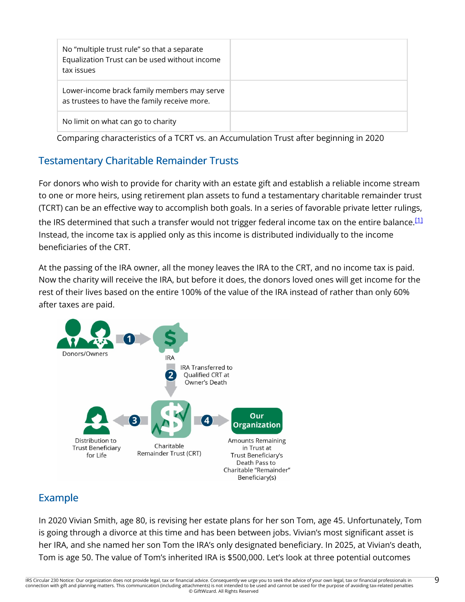| No "multiple trust rule" so that a separate<br>Equalization Trust can be used without income<br>tax issues |  |
|------------------------------------------------------------------------------------------------------------|--|
| Lower-income brack family members may serve<br>as trustees to have the family receive more.                |  |
| No limit on what can go to charity                                                                         |  |

Comparing characteristics of a TCRT vs. an Accumulation Trust after beginning in 2020

# Testamentary Charitable Remainder Trusts

For donors who wish to provide for charity with an estate gift and establish a reliable income stream to one or more heirs, using retirement plan assets to fund a testamentary charitable remainder trust (TCRT) can be an effective way to accomplish both goals. In a series of favorable private letter rulings,

the IRS determined that such a transfer would not trigger federal income tax on the entire balance. $^{[11]}$ Instead, the income tax is applied only as this income is distributed individually to the income beneficiaries of the CRT.

At the passing of the IRA owner, all the money leaves the IRA to the CRT, and no income tax is paid. Now the charity will receive the IRA, but before it does, the donors loved ones will get income for the rest of their lives based on the entire 100% of the value of the IRA instead of rather than only 60% after taxes are paid.



# Example

In 2020 Vivian Smith, age 80, is revising her estate plans for her son Tom, age 45. Unfortunately, Tom is going through a divorce at this time and has been between jobs. Vivian's most significant asset is her IRA, and she named her son Tom the IRA's only designated beneficiary. In 2025, at Vivian's death, Tom is age 50. The value of Tom's inherited IRA is \$500,000. Let's look at three potential outcomes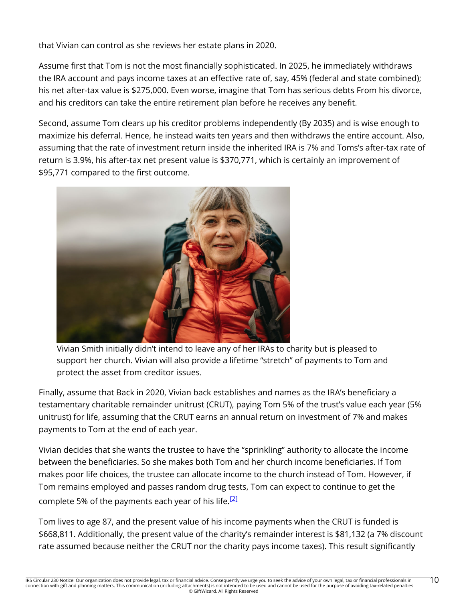that Vivian can control as she reviews her estate plans in 2020.

Assume first that Tom is not the most financially sophisticated. In 2025, he immediately withdraws the IRA account and pays income taxes at an effective rate of, say, 45% (federal and state combined); his net after-tax value is \$275,000. Even worse, imagine that Tom has serious debts From his divorce, and his creditors can take the entire retirement plan before he receives any benefit.

Second, assume Tom clears up his creditor problems independently (By 2035) and is wise enough to maximize his deferral. Hence, he instead waits ten years and then withdraws the entire account. Also, assuming that the rate of investment return inside the inherited IRA is 7% and Toms's after-tax rate of return is 3.9%, his after-tax net present value is \$370,771, which is certainly an improvement of \$95,771 compared to the first outcome.



Vivian Smith initially didn't intend to leave any of her IRAs to charity but is pleased to support her church. Vivian will also provide a lifetime "stretch" of payments to Tom and protect the asset from creditor issues.

Finally, assume that Back in 2020, Vivian back establishes and names as the IRA's beneficiary a testamentary charitable remainder unitrust (CRUT), paying Tom 5% of the trust's value each year (5% unitrust) for life, assuming that the CRUT earns an annual return on investment of 7% and makes payments to Tom at the end of each year.

Vivian decides that she wants the trustee to have the "sprinkling" authority to allocate the income between the beneficiaries. So she makes both Tom and her church income beneficiaries. If Tom makes poor life choices, the trustee can allocate income to the church instead of Tom. However, if Tom remains employed and passes random drug tests, Tom can expect to continue to get the complete 5% of the payments each year of his life. $^{\text{12}}$ 

Tom lives to age 87, and the present value of his income payments when the CRUT is funded is \$668,811. Additionally, the present value of the charity's remainder interest is \$81,132 (a 7% discount rate assumed because neither the CRUT nor the charity pays income taxes). This result significantly

10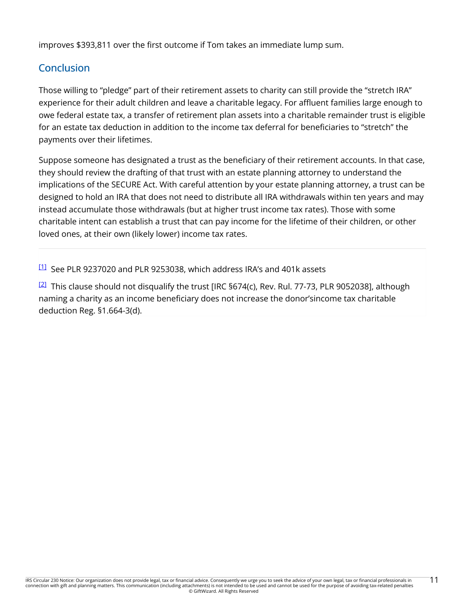improves \$393,811 over the first outcome if Tom takes an immediate lump sum.

# **Conclusion**

Those willing to "pledge" part of their retirement assets to charity can still provide the "stretch IRA" experience for their adult children and leave a charitable legacy. For affluent families large enough to owe federal estate tax, a transfer of retirement plan assets into a charitable remainder trust is eligible for an estate tax deduction in addition to the income tax deferral for beneficiaries to "stretch" the payments over their lifetimes.

Suppose someone has designated a trust as the beneficiary of their retirement accounts. In that case, they should review the drafting of that trust with an estate planning attorney to understand the implications of the SECURE Act. With careful attention by your estate planning attorney, a trust can be designed to hold an IRA that does not need to distribute all IRA withdrawals within ten years and may instead accumulate those withdrawals (but at higher trust income tax rates). Those with some charitable intent can establish a trust that can pay income for the lifetime of their children, or other loved ones, at their own (likely lower) income tax rates.

[1] See PLR 9237020 and PLR 9253038, which address IRA's and 401k assets

 $\frac{[2]}{[2]}$  This clause should not disqualify the trust [IRC §674(c), Rev. Rul. 77-73, PLR 9052038], although naming a charity as an income beneficiary does not increase the donor'sincome tax charitable deduction Reg. §1.664-3(d).

11